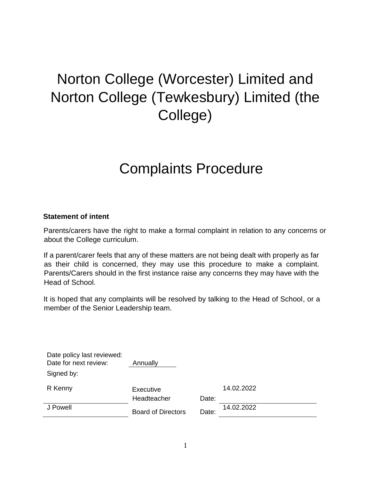# Norton College (Worcester) Limited and Norton College (Tewkesbury) Limited (the College)

# Complaints Procedure

#### **Statement of intent**

Parents/carers have the right to make a formal complaint in relation to any concerns or about the College curriculum.

If a parent/carer feels that any of these matters are not being dealt with properly as far as their child is concerned, they may use this procedure to make a complaint. Parents/Carers should in the first instance raise any concerns they may have with the Head of School.

It is hoped that any complaints will be resolved by talking to the Head of School, or a member of the Senior Leadership team.

| Date policy last reviewed:<br>Date for next review: | Annually                  |       |            |
|-----------------------------------------------------|---------------------------|-------|------------|
| Signed by:                                          |                           |       |            |
| R Kenny                                             | Executive                 |       | 14.02.2022 |
|                                                     | Headteacher               | Date: |            |
| J Powell                                            | <b>Board of Directors</b> | Date: | 14.02.2022 |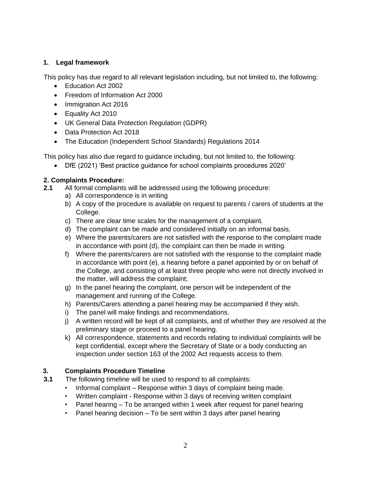## **1. Legal framework**

This policy has due regard to all relevant legislation including, but not limited to, the following:

- Education Act 2002
- Freedom of Information Act 2000
- Immigration Act 2016
- Equality Act 2010
- UK General Data Protection Regulation (GDPR)
- Data Protection Act 2018
- The Education (Independent School Standards) Regulations 2014

This policy has also due regard to guidance including, but not limited to, the following:

• DfE (2021) 'Best practice guidance for school complaints procedures 2020'

#### **2. Complaints Procedure:**

- **2.1** All formal complaints will be addressed using the following procedure:
	- a) All correspondence is in writing
	- b) A copy of the procedure is available on request to parents / carers of students at the College.
	- c) There are clear time scales for the management of a complaint.
	- d) The complaint can be made and considered initially on an informal basis.
	- e) Where the parents/carers are not satisfied with the response to the complaint made in accordance with point (d), the complaint can then be made in writing.
	- f) Where the parents/carers are not satisfied with the response to the complaint made in accordance with point (e), a hearing before a panel appointed by or on behalf of the College, and consisting of at least three people who were not directly involved in the matter, will address the complaint;
	- g) In the panel hearing the complaint, one person will be independent of the management and running of the College.
	- h) Parents/Carers attending a panel hearing may be accompanied if they wish.
	- i) The panel will make findings and recommendations.
	- j) A written record will be kept of all complaints, and of whether they are resolved at the preliminary stage or proceed to a panel hearing.
	- k) All correspondence, statements and records relating to individual complaints will be kept confidential, except where the Secretary of State or a body conducting an inspection under section 163 of the 2002 Act requests access to them.

### **3. Complaints Procedure Timeline**

- **3.1** The following timeline will be used to respond to all complaints:
	- Informal complaint Response within 3 days of complaint being made.
	- Written complaint Response within 3 days of receiving written complaint
	- Panel hearing To be arranged within 1 week after request for panel hearing
	- Panel hearing decision To be sent within 3 days after panel hearing